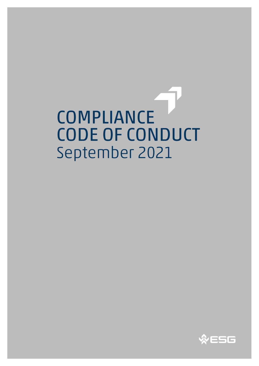COMPLIANCE CODE OF CONDUCT September 2021

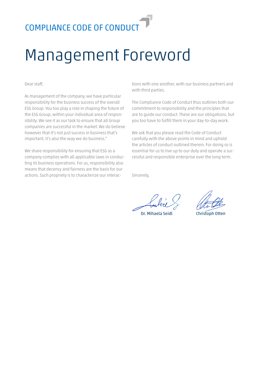### Management Foreword

Dear staff,

As management of the company, we have particular responsibility for the business success of the overall ESG Group. You too play a role in shaping the future of the ESG Group, within your individual area of responsibility. We see it as our task to ensure that all Group companies are successful in the market. We do believe however that it's not just success in business that's important, it's also the way we do business."

We share responsibility for ensuring that ESG as a company complies with all applicable laws in conducting its business operations. For us, responsibility also means that decency and fairness are the basis for our actions. Such propriety is to characterize our interactions with one another, with our business partners and with third parties.

The Compliance Code of Conduct thus outlines both our commitment to responsibility and the principles that are to guide our conduct. These are our obligations, but you too have to fulfill them in your day-to-day work.

We ask that you please read the Code of Conduct carefully with the above points in mind and uphold the articles of conduct outlined therein. For doing so is essential for us to live up to our duty and operate a successful and responsible enterprise over the long term.

Sincerely,

Dr. Mihaela Seidl Christoph Otten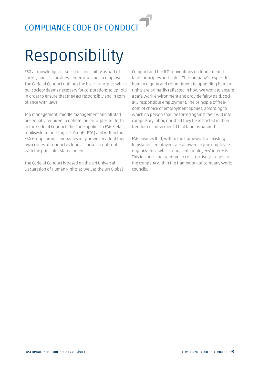# Responsibility

ESG acknowledges its social responsibility as part of society and as a business enterprise and an employer. The Code of Conduct outlines the basic principles which our society deems necessary for corporations to uphold in order to ensure that they act responsibly and in compliance with laws.

Top management, middle management and all staff are equally required to uphold the principles set forth in the Code of Conduct. The Code applies to ESG Elektroniksystem- und Logistik-GmbH (ESG) and within the ESG Group. Group companies may however adopt their own codes of conduct as long as these do not conflict with the principles stated herein.

The Code of Conduct is based on the UN Universal Declaration of Human Rights as well as the UN Global

Compact and the ILO conventions on fundamental labor principles and rights. The company's respect for human dignity and commitment to upholding human rights are primarily reflected in how we work to ensure a safe work environment and provide fairly paid, socially responsible employment. The principle of freedom of choice of employment applies, according to which no person shall be forced against their will into compulsory labor, nor shall they be restricted in their freedom of movement. Child labor is banned.

ESG ensures that, within the framework of existing legislation, employees are allowed to join employee organizations which represent employees' interests. This includes the freedom to constructively co-govern the company within the framework of company works councils.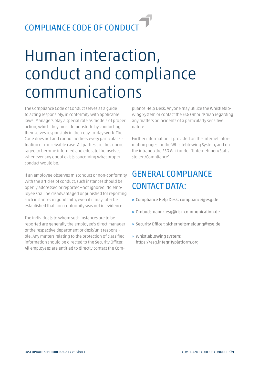#### Human interaction, conduct and compliance communications

The Compliance Code of Conduct serves as a guide to acting responsibly, in conformity with applicable laws. Managers play a special role as models of proper action, which they must demonstrate by conducting themselves responsibly in their day-to-day work. The Code does not and cannot address every particular situation or conceivable case. All parties are thus encouraged to become informed and educate themselves whenever any doubt exists concerning what proper conduct would be.

If an employee observes misconduct or non-conformity with the articles of conduct, such instances should be openly addressed or reported—not ignored. No employee shall be disadvantaged or punished for reporting such instances in good faith, even if it may later be established that non-conformity was not in evidence.

The individuals to whom such instances are to be reported are generally the employee's direct manager or the respective department or desk/unit responsible. Any matters relating to the protection of classified information should be directed to the Security Officer. All employees are entitled to directly contact the Com-

pliance Help Desk. Anyone may utilize the Whistleblowing System or contact the ESG Ombudsman regarding any matters or incidents of a particularly sensitive nature.

Further information is provided on the internet information pages for the Whistleblowing System, and on the intranet/the ESG Wiki under 'Unternehmen/Stabsstellen/Compliance'.

#### GENERAL COMPLIANCE CONTACT DATA:

- » Compliance Help Desk: compliance@esg.de
- » Ombudsmann: esg@risk-communication.de
- » Security Officer: sicherheitsmeldung@esg.de
- » Whistleblowing system: https://esg.integrityplatform.org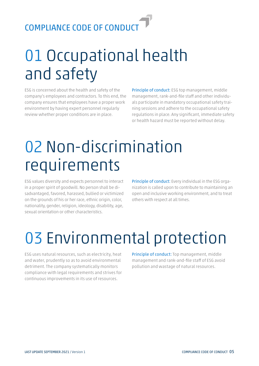# 01 Occupational health and safety

ESG is concerned about the health and safety of the company's employees and contractors. To this end, the company ensures that employees have a proper work environment by having expert personnel regularly review whether proper conditions are in place.

Principle of conduct: ESG top management, middle management, rank-and-file staff and other individuals participate in mandatory occupational safety training sessions and adhere to the occupational safety regulations in place. Any significant, immediate safety or health hazard must be reported without delay.

## 02 Non-discrimination requirements

ESG values diversity and expects personnel to interact in a proper spirit of goodwill. No person shall be disadvantaged, favored, harassed, bullied or victimized on the grounds of his or her race, ethnic origin, color, nationality, gender, religion, ideology, disability, age, sexual orientation or other characteristics.

Principle of conduct: Every individual in the ESG organization is called upon to contribute to maintaining an open and inclusive working environment, and to treat others with respect at all times.

# 03 Environmental protection

ESG uses natural resources, such as electricity, heat and water, prudently so as to avoid environmental detriment. The company systematically monitors compliance with legal requirements and strives for continuous improvements in its use of resources.

Principle of conduct: Top management, middle management and rank-and-file staff of ESG avoid pollution and wastage of natural resources.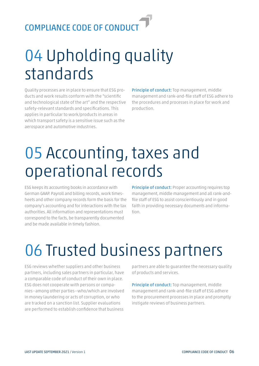## 04 Upholding quality standards

Quality processes are in place to ensure that ESG products and work results conform with the "scientific and technological state of the art" and the respective safety-relevant standards and specifications. This applies in particular to work/products in areas in which transport safety is a sensitive issue such as the aerospace and automotive industries.

Principle of conduct: Top management, middle management and rank-and-file staff of ESG adhere to the procedures and processes in place for work and production.

### 05 Accounting, taxes and operational records

ESG keeps its accounting books in accordance with German GAAP. Payroll and billing records, work timesheets and other company records form the basis for the company's accounting and for interactions with the tax authorities. All information and representations must correspond to the facts, be transparently documented and be made available in timely fashion.

Principle of conduct: Proper accounting requires top management, middle management and all rank-andfile staff of ESG to assist conscientiously and in good faith in providing necessary documents and information.

### 06 Trusted business partners

ESG reviews whether suppliers and other business partners, including sales partners in particular, have a comparable code of conduct of their own in place. ESG does not cooperate with persons or companies—among other parties—who/which are involved in money laundering or acts of corruption, or who are tracked on a sanction list. Supplier evaluations are performed to establish confidence that business

partners are able to guarantee the necessary quality of products and services.

Principle of conduct: Top management, middle management and rank-and-file staff of ESG adhere to the procurement processes in place and promptly instigate reviews of business partners.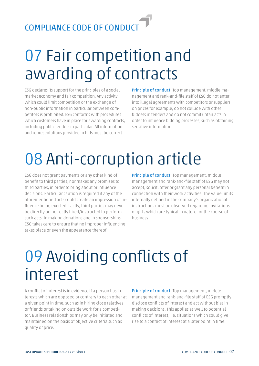## 07 Fair competition and awarding of contracts

ESG declares its support for the principles of a social market economy and fair competition. Any activity which could limit competition or the exchange of non-public information in particular between competitors is prohibited. ESG conforms with procedures which customers have in place for awarding contracts, including public tenders in particular. All information and representations provided in bids must be correct.

Principle of conduct: Top management, middle management and rank-and-file staff of ESG do not enter into illegal agreements with competitors or suppliers, on prices for example, do not collude with other bidders in tenders and do not commit unfair acts in order to influence bidding processes, such as obtaining sensitive information.

# 08 Anti-corruption article

ESG does not grant payments or any other kind of benefit to third parties, nor makes any promises to third parties, in order to bring about or influence decisions. Particular caution is required if any of the aforementioned acts could create an impression of influence being exerted. Lastly, third parties may never be directly or indirectly hired/instructed to perform such acts. In making donations and in sponsorships ESG takes care to ensure that no improper influencing takes place or even the appearance thereof.

Principle of conduct: Top management, middle management and rank-and-file staff of ESG may not accept, solicit, offer or grant any personal benefit in connection with their work activities. The value limits internally defined in the company's organizational instructions must be observed regarding invitations or gifts which are typical in nature for the course of business.

## 09 Avoiding conflicts of interest

A conflict of interest is in evidence if a person has interests which are opposed or contrary to each other at a given point in time, such as in hiring close relatives or friends or taking on outside work for a competitor. Business relationships may only be initiated and maintained on the basis of objective criteria such as quality or price.

Principle of conduct: Top management, middle management and rank-and-file staff of ESG promptly disclose conflicts of interest and act without bias in making decisions. This applies as well to potential conflicts of interest, i.e. situations which could give rise to a conflict of interest at a later point in time.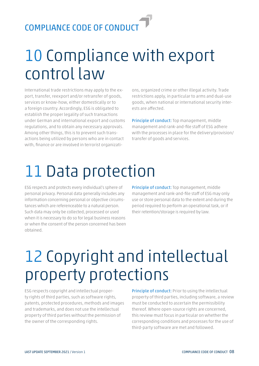#### 10 Compliance with export control law

International trade restrictions may apply to the export, transfer, reexport and/or retransfer of goods, services or know-how, either domestically or to a foreign country. Accordingly, ESG is obligated to establish the proper legality of such transactions under German and international export and customs regulations, and to obtain any necessary approvals. Among other things, this is to prevent such transactions being utilized by persons who are in contact with, finance or are involved in terrorist organizati-

ons, organized crime or other illegal activity. Trade restrictions apply, in particular to arms and dual-use goods, when national or international security interests are affected.

Principle of conduct: Top management, middle management and rank-and-file staff of ESG adhere with the processes in place for the delivery/provision/ transfer of goods and services.

# 11 Data protection

ESG respects and protects every individual's sphere of personal privacy. Personal data generally includes any information concerning personal or objective circumstances which are referenceable to a natural person. Such data may only be collected, processed or used when it is necessary to do so for legal business reasons or when the consent of the person concerned has been obtained.

Principle of conduct: Top management, middle management and rank-and-file staff of ESG may only use or store personal data to the extent and during the period required to perform an operational task, or if their retention/storage is required by law.

## 12 Copyright and intellectual property protections

ESG respects copyright and intellectual property rights of third parties, such as software rights, patents, protected procedures, methods and images and trademarks, and does not use the intellectual property of third parties without the permission of the owner of the corresponding rights.

Principle of conduct: Prior to using the intellectual property of third parties, including software, a review must be conducted to ascertain the permissibility thereof. Where open-source rights are concerned, this review must focus in particular on whether the corresponding conditions and processes for the use of third-party software are met and followed.